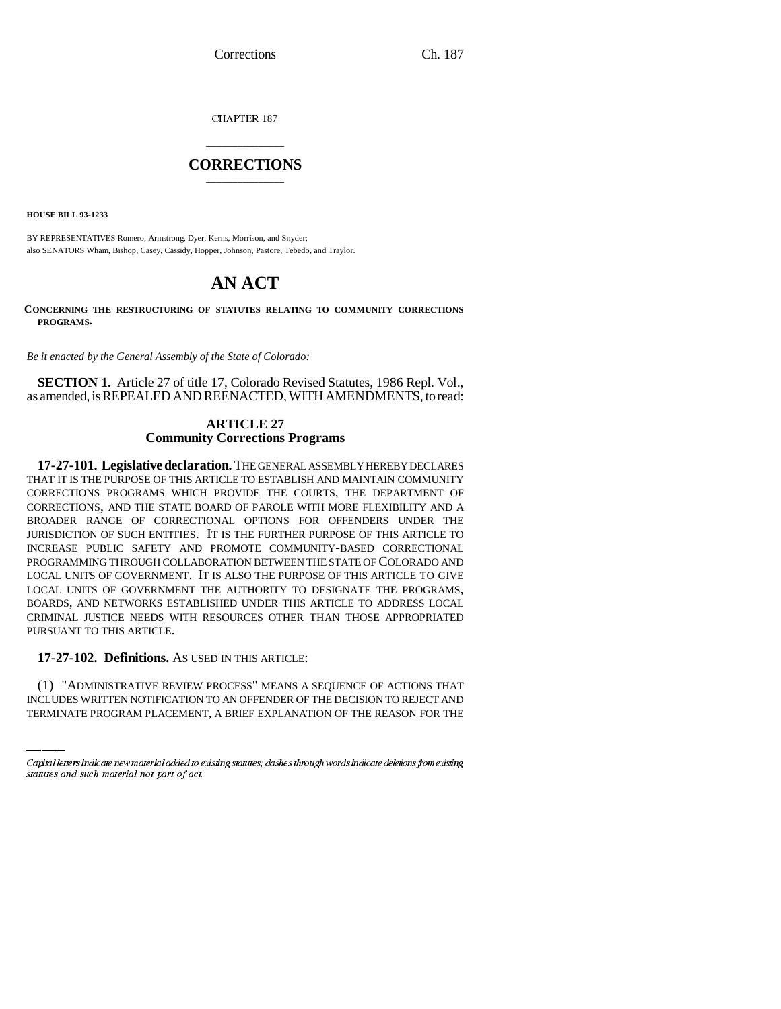CHAPTER 187

## \_\_\_\_\_\_\_\_\_\_\_\_\_\_\_ **CORRECTIONS** \_\_\_\_\_\_\_\_\_\_\_\_\_\_\_

**HOUSE BILL 93-1233**

BY REPRESENTATIVES Romero, Armstrong, Dyer, Kerns, Morrison, and Snyder; also SENATORS Wham, Bishop, Casey, Cassidy, Hopper, Johnson, Pastore, Tebedo, and Traylor.

# **AN ACT**

**CONCERNING THE RESTRUCTURING OF STATUTES RELATING TO COMMUNITY CORRECTIONS PROGRAMS.**

*Be it enacted by the General Assembly of the State of Colorado:*

**SECTION 1.** Article 27 of title 17, Colorado Revised Statutes, 1986 Repl. Vol., as amended, is REPEALED AND REENACTED, WITH AMENDMENTS, to read:

## **ARTICLE 27 Community Corrections Programs**

**17-27-101. Legislative declaration.** THE GENERAL ASSEMBLY HEREBY DECLARES THAT IT IS THE PURPOSE OF THIS ARTICLE TO ESTABLISH AND MAINTAIN COMMUNITY CORRECTIONS PROGRAMS WHICH PROVIDE THE COURTS, THE DEPARTMENT OF CORRECTIONS, AND THE STATE BOARD OF PAROLE WITH MORE FLEXIBILITY AND A BROADER RANGE OF CORRECTIONAL OPTIONS FOR OFFENDERS UNDER THE JURISDICTION OF SUCH ENTITIES. IT IS THE FURTHER PURPOSE OF THIS ARTICLE TO INCREASE PUBLIC SAFETY AND PROMOTE COMMUNITY-BASED CORRECTIONAL PROGRAMMING THROUGH COLLABORATION BETWEEN THE STATE OF COLORADO AND LOCAL UNITS OF GOVERNMENT. IT IS ALSO THE PURPOSE OF THIS ARTICLE TO GIVE LOCAL UNITS OF GOVERNMENT THE AUTHORITY TO DESIGNATE THE PROGRAMS, BOARDS, AND NETWORKS ESTABLISHED UNDER THIS ARTICLE TO ADDRESS LOCAL CRIMINAL JUSTICE NEEDS WITH RESOURCES OTHER THAN THOSE APPROPRIATED PURSUANT TO THIS ARTICLE.

# **17-27-102. Definitions.** AS USED IN THIS ARTICLE:

(1) "ADMINISTRATIVE REVIEW PROCESS" MEANS A SEQUENCE OF ACTIONS THAT INCLUDES WRITTEN NOTIFICATION TO AN OFFENDER OF THE DECISION TO REJECT AND TERMINATE PROGRAM PLACEMENT, A BRIEF EXPLANATION OF THE REASON FOR THE

Capital letters indicate new material added to existing statutes; dashes through words indicate deletions from existing statutes and such material not part of act.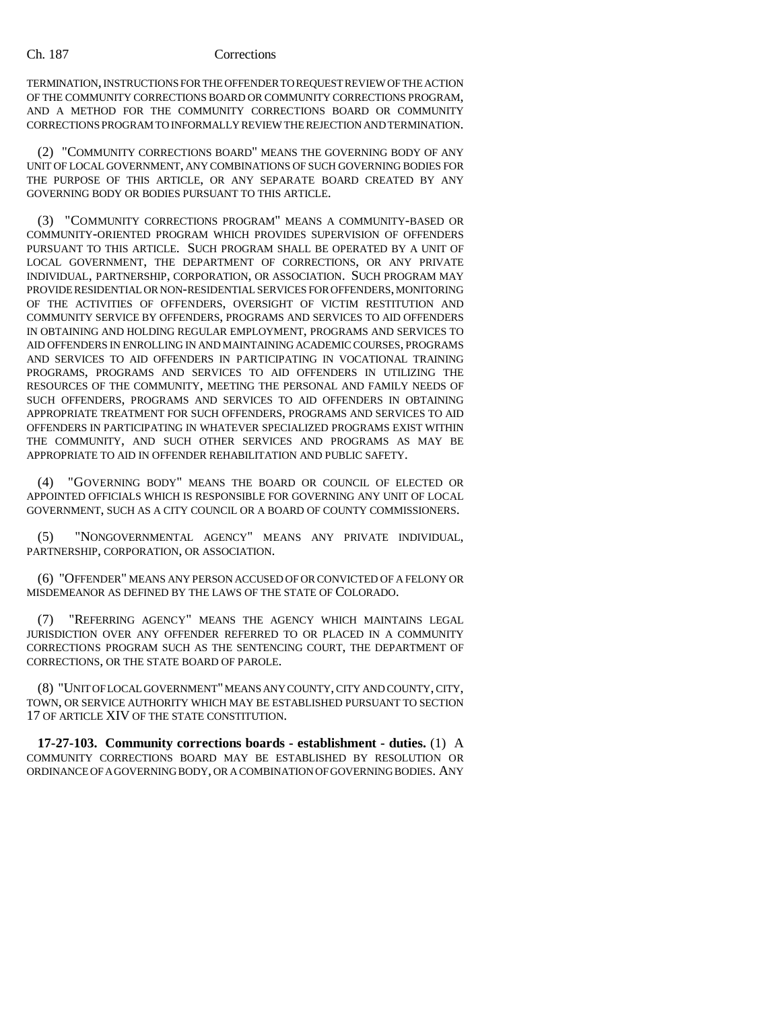TERMINATION, INSTRUCTIONS FOR THE OFFENDER TO REQUEST REVIEW OF THE ACTION OF THE COMMUNITY CORRECTIONS BOARD OR COMMUNITY CORRECTIONS PROGRAM, AND A METHOD FOR THE COMMUNITY CORRECTIONS BOARD OR COMMUNITY CORRECTIONS PROGRAM TO INFORMALLY REVIEW THE REJECTION AND TERMINATION.

(2) "COMMUNITY CORRECTIONS BOARD" MEANS THE GOVERNING BODY OF ANY UNIT OF LOCAL GOVERNMENT, ANY COMBINATIONS OF SUCH GOVERNING BODIES FOR THE PURPOSE OF THIS ARTICLE, OR ANY SEPARATE BOARD CREATED BY ANY GOVERNING BODY OR BODIES PURSUANT TO THIS ARTICLE.

(3) "COMMUNITY CORRECTIONS PROGRAM" MEANS A COMMUNITY-BASED OR COMMUNITY-ORIENTED PROGRAM WHICH PROVIDES SUPERVISION OF OFFENDERS PURSUANT TO THIS ARTICLE. SUCH PROGRAM SHALL BE OPERATED BY A UNIT OF LOCAL GOVERNMENT, THE DEPARTMENT OF CORRECTIONS, OR ANY PRIVATE INDIVIDUAL, PARTNERSHIP, CORPORATION, OR ASSOCIATION. SUCH PROGRAM MAY PROVIDE RESIDENTIAL OR NON-RESIDENTIAL SERVICES FOR OFFENDERS, MONITORING OF THE ACTIVITIES OF OFFENDERS, OVERSIGHT OF VICTIM RESTITUTION AND COMMUNITY SERVICE BY OFFENDERS, PROGRAMS AND SERVICES TO AID OFFENDERS IN OBTAINING AND HOLDING REGULAR EMPLOYMENT, PROGRAMS AND SERVICES TO AID OFFENDERS IN ENROLLING IN AND MAINTAINING ACADEMIC COURSES, PROGRAMS AND SERVICES TO AID OFFENDERS IN PARTICIPATING IN VOCATIONAL TRAINING PROGRAMS, PROGRAMS AND SERVICES TO AID OFFENDERS IN UTILIZING THE RESOURCES OF THE COMMUNITY, MEETING THE PERSONAL AND FAMILY NEEDS OF SUCH OFFENDERS, PROGRAMS AND SERVICES TO AID OFFENDERS IN OBTAINING APPROPRIATE TREATMENT FOR SUCH OFFENDERS, PROGRAMS AND SERVICES TO AID OFFENDERS IN PARTICIPATING IN WHATEVER SPECIALIZED PROGRAMS EXIST WITHIN THE COMMUNITY, AND SUCH OTHER SERVICES AND PROGRAMS AS MAY BE APPROPRIATE TO AID IN OFFENDER REHABILITATION AND PUBLIC SAFETY.

(4) "GOVERNING BODY" MEANS THE BOARD OR COUNCIL OF ELECTED OR APPOINTED OFFICIALS WHICH IS RESPONSIBLE FOR GOVERNING ANY UNIT OF LOCAL GOVERNMENT, SUCH AS A CITY COUNCIL OR A BOARD OF COUNTY COMMISSIONERS.

(5) "NONGOVERNMENTAL AGENCY" MEANS ANY PRIVATE INDIVIDUAL, PARTNERSHIP, CORPORATION, OR ASSOCIATION.

(6) "OFFENDER" MEANS ANY PERSON ACCUSED OF OR CONVICTED OF A FELONY OR MISDEMEANOR AS DEFINED BY THE LAWS OF THE STATE OF COLORADO.

(7) "REFERRING AGENCY" MEANS THE AGENCY WHICH MAINTAINS LEGAL JURISDICTION OVER ANY OFFENDER REFERRED TO OR PLACED IN A COMMUNITY CORRECTIONS PROGRAM SUCH AS THE SENTENCING COURT, THE DEPARTMENT OF CORRECTIONS, OR THE STATE BOARD OF PAROLE.

(8) "UNIT OF LOCAL GOVERNMENT" MEANS ANY COUNTY, CITY AND COUNTY, CITY, TOWN, OR SERVICE AUTHORITY WHICH MAY BE ESTABLISHED PURSUANT TO SECTION 17 OF ARTICLE XIV OF THE STATE CONSTITUTION.

**17-27-103. Community corrections boards - establishment - duties.** (1) A COMMUNITY CORRECTIONS BOARD MAY BE ESTABLISHED BY RESOLUTION OR ORDINANCE OF A GOVERNING BODY, OR A COMBINATION OF GOVERNING BODIES. ANY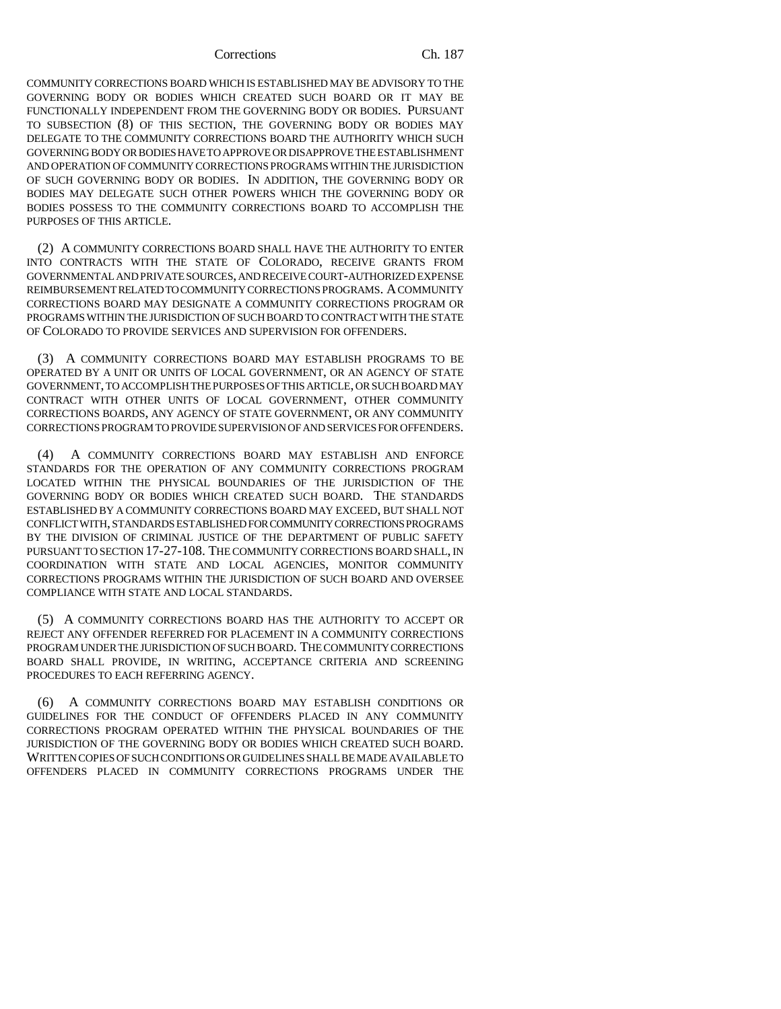COMMUNITY CORRECTIONS BOARD WHICH IS ESTABLISHED MAY BE ADVISORY TO THE GOVERNING BODY OR BODIES WHICH CREATED SUCH BOARD OR IT MAY BE FUNCTIONALLY INDEPENDENT FROM THE GOVERNING BODY OR BODIES. PURSUANT TO SUBSECTION (8) OF THIS SECTION, THE GOVERNING BODY OR BODIES MAY DELEGATE TO THE COMMUNITY CORRECTIONS BOARD THE AUTHORITY WHICH SUCH GOVERNING BODY OR BODIES HAVE TO APPROVE OR DISAPPROVE THE ESTABLISHMENT AND OPERATION OF COMMUNITY CORRECTIONS PROGRAMS WITHIN THE JURISDICTION OF SUCH GOVERNING BODY OR BODIES. IN ADDITION, THE GOVERNING BODY OR BODIES MAY DELEGATE SUCH OTHER POWERS WHICH THE GOVERNING BODY OR BODIES POSSESS TO THE COMMUNITY CORRECTIONS BOARD TO ACCOMPLISH THE PURPOSES OF THIS ARTICLE.

(2) A COMMUNITY CORRECTIONS BOARD SHALL HAVE THE AUTHORITY TO ENTER INTO CONTRACTS WITH THE STATE OF COLORADO, RECEIVE GRANTS FROM GOVERNMENTAL AND PRIVATE SOURCES, AND RECEIVE COURT-AUTHORIZED EXPENSE REIMBURSEMENT RELATED TO COMMUNITY CORRECTIONS PROGRAMS. A COMMUNITY CORRECTIONS BOARD MAY DESIGNATE A COMMUNITY CORRECTIONS PROGRAM OR PROGRAMS WITHIN THE JURISDICTION OF SUCH BOARD TO CONTRACT WITH THE STATE OF COLORADO TO PROVIDE SERVICES AND SUPERVISION FOR OFFENDERS.

(3) A COMMUNITY CORRECTIONS BOARD MAY ESTABLISH PROGRAMS TO BE OPERATED BY A UNIT OR UNITS OF LOCAL GOVERNMENT, OR AN AGENCY OF STATE GOVERNMENT, TO ACCOMPLISH THE PURPOSES OF THIS ARTICLE, OR SUCH BOARD MAY CONTRACT WITH OTHER UNITS OF LOCAL GOVERNMENT, OTHER COMMUNITY CORRECTIONS BOARDS, ANY AGENCY OF STATE GOVERNMENT, OR ANY COMMUNITY CORRECTIONS PROGRAM TO PROVIDE SUPERVISION OF AND SERVICES FOR OFFENDERS.

(4) A COMMUNITY CORRECTIONS BOARD MAY ESTABLISH AND ENFORCE STANDARDS FOR THE OPERATION OF ANY COMMUNITY CORRECTIONS PROGRAM LOCATED WITHIN THE PHYSICAL BOUNDARIES OF THE JURISDICTION OF THE GOVERNING BODY OR BODIES WHICH CREATED SUCH BOARD. THE STANDARDS ESTABLISHED BY A COMMUNITY CORRECTIONS BOARD MAY EXCEED, BUT SHALL NOT CONFLICT WITH, STANDARDS ESTABLISHED FOR COMMUNITY CORRECTIONS PROGRAMS BY THE DIVISION OF CRIMINAL JUSTICE OF THE DEPARTMENT OF PUBLIC SAFETY PURSUANT TO SECTION 17-27-108. THE COMMUNITY CORRECTIONS BOARD SHALL, IN COORDINATION WITH STATE AND LOCAL AGENCIES, MONITOR COMMUNITY CORRECTIONS PROGRAMS WITHIN THE JURISDICTION OF SUCH BOARD AND OVERSEE COMPLIANCE WITH STATE AND LOCAL STANDARDS.

(5) A COMMUNITY CORRECTIONS BOARD HAS THE AUTHORITY TO ACCEPT OR REJECT ANY OFFENDER REFERRED FOR PLACEMENT IN A COMMUNITY CORRECTIONS PROGRAM UNDER THE JURISDICTION OF SUCH BOARD. THE COMMUNITY CORRECTIONS BOARD SHALL PROVIDE, IN WRITING, ACCEPTANCE CRITERIA AND SCREENING PROCEDURES TO EACH REFERRING AGENCY.

(6) A COMMUNITY CORRECTIONS BOARD MAY ESTABLISH CONDITIONS OR GUIDELINES FOR THE CONDUCT OF OFFENDERS PLACED IN ANY COMMUNITY CORRECTIONS PROGRAM OPERATED WITHIN THE PHYSICAL BOUNDARIES OF THE JURISDICTION OF THE GOVERNING BODY OR BODIES WHICH CREATED SUCH BOARD. WRITTEN COPIES OF SUCH CONDITIONS OR GUIDELINES SHALL BE MADE AVAILABLE TO OFFENDERS PLACED IN COMMUNITY CORRECTIONS PROGRAMS UNDER THE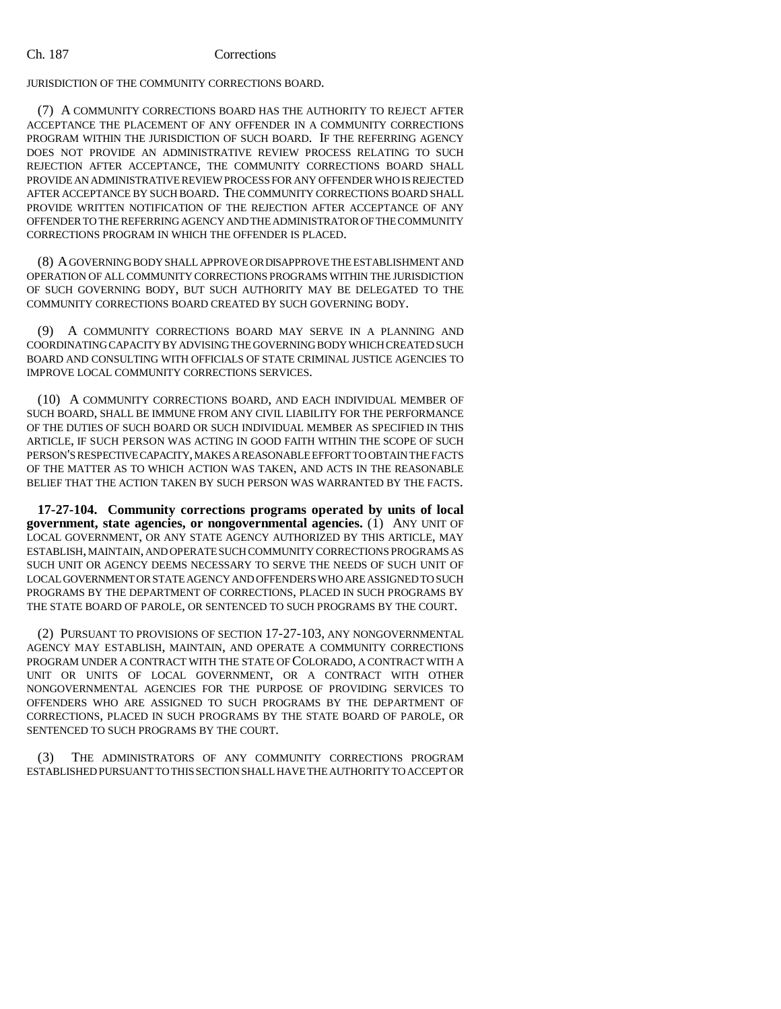JURISDICTION OF THE COMMUNITY CORRECTIONS BOARD.

(7) A COMMUNITY CORRECTIONS BOARD HAS THE AUTHORITY TO REJECT AFTER ACCEPTANCE THE PLACEMENT OF ANY OFFENDER IN A COMMUNITY CORRECTIONS PROGRAM WITHIN THE JURISDICTION OF SUCH BOARD. IF THE REFERRING AGENCY DOES NOT PROVIDE AN ADMINISTRATIVE REVIEW PROCESS RELATING TO SUCH REJECTION AFTER ACCEPTANCE, THE COMMUNITY CORRECTIONS BOARD SHALL PROVIDE AN ADMINISTRATIVE REVIEW PROCESS FOR ANY OFFENDER WHO IS REJECTED AFTER ACCEPTANCE BY SUCH BOARD. THE COMMUNITY CORRECTIONS BOARD SHALL PROVIDE WRITTEN NOTIFICATION OF THE REJECTION AFTER ACCEPTANCE OF ANY OFFENDER TO THE REFERRING AGENCY AND THE ADMINISTRATOR OF THE COMMUNITY CORRECTIONS PROGRAM IN WHICH THE OFFENDER IS PLACED.

(8) A GOVERNING BODY SHALL APPROVE OR DISAPPROVE THE ESTABLISHMENT AND OPERATION OF ALL COMMUNITY CORRECTIONS PROGRAMS WITHIN THE JURISDICTION OF SUCH GOVERNING BODY, BUT SUCH AUTHORITY MAY BE DELEGATED TO THE COMMUNITY CORRECTIONS BOARD CREATED BY SUCH GOVERNING BODY.

(9) A COMMUNITY CORRECTIONS BOARD MAY SERVE IN A PLANNING AND COORDINATING CAPACITY BY ADVISING THE GOVERNING BODY WHICH CREATED SUCH BOARD AND CONSULTING WITH OFFICIALS OF STATE CRIMINAL JUSTICE AGENCIES TO IMPROVE LOCAL COMMUNITY CORRECTIONS SERVICES.

(10) A COMMUNITY CORRECTIONS BOARD, AND EACH INDIVIDUAL MEMBER OF SUCH BOARD, SHALL BE IMMUNE FROM ANY CIVIL LIABILITY FOR THE PERFORMANCE OF THE DUTIES OF SUCH BOARD OR SUCH INDIVIDUAL MEMBER AS SPECIFIED IN THIS ARTICLE, IF SUCH PERSON WAS ACTING IN GOOD FAITH WITHIN THE SCOPE OF SUCH PERSON'S RESPECTIVE CAPACITY, MAKES A REASONABLE EFFORT TO OBTAIN THE FACTS OF THE MATTER AS TO WHICH ACTION WAS TAKEN, AND ACTS IN THE REASONABLE BELIEF THAT THE ACTION TAKEN BY SUCH PERSON WAS WARRANTED BY THE FACTS.

**17-27-104. Community corrections programs operated by units of local government, state agencies, or nongovernmental agencies.** (1) ANY UNIT OF LOCAL GOVERNMENT, OR ANY STATE AGENCY AUTHORIZED BY THIS ARTICLE, MAY ESTABLISH, MAINTAIN, AND OPERATE SUCH COMMUNITY CORRECTIONS PROGRAMS AS SUCH UNIT OR AGENCY DEEMS NECESSARY TO SERVE THE NEEDS OF SUCH UNIT OF LOCAL GOVERNMENT OR STATE AGENCY AND OFFENDERS WHO ARE ASSIGNED TO SUCH PROGRAMS BY THE DEPARTMENT OF CORRECTIONS, PLACED IN SUCH PROGRAMS BY THE STATE BOARD OF PAROLE, OR SENTENCED TO SUCH PROGRAMS BY THE COURT.

(2) PURSUANT TO PROVISIONS OF SECTION 17-27-103, ANY NONGOVERNMENTAL AGENCY MAY ESTABLISH, MAINTAIN, AND OPERATE A COMMUNITY CORRECTIONS PROGRAM UNDER A CONTRACT WITH THE STATE OF COLORADO, A CONTRACT WITH A UNIT OR UNITS OF LOCAL GOVERNMENT, OR A CONTRACT WITH OTHER NONGOVERNMENTAL AGENCIES FOR THE PURPOSE OF PROVIDING SERVICES TO OFFENDERS WHO ARE ASSIGNED TO SUCH PROGRAMS BY THE DEPARTMENT OF CORRECTIONS, PLACED IN SUCH PROGRAMS BY THE STATE BOARD OF PAROLE, OR SENTENCED TO SUCH PROGRAMS BY THE COURT.

(3) THE ADMINISTRATORS OF ANY COMMUNITY CORRECTIONS PROGRAM ESTABLISHED PURSUANT TO THIS SECTION SHALL HAVE THE AUTHORITY TO ACCEPT OR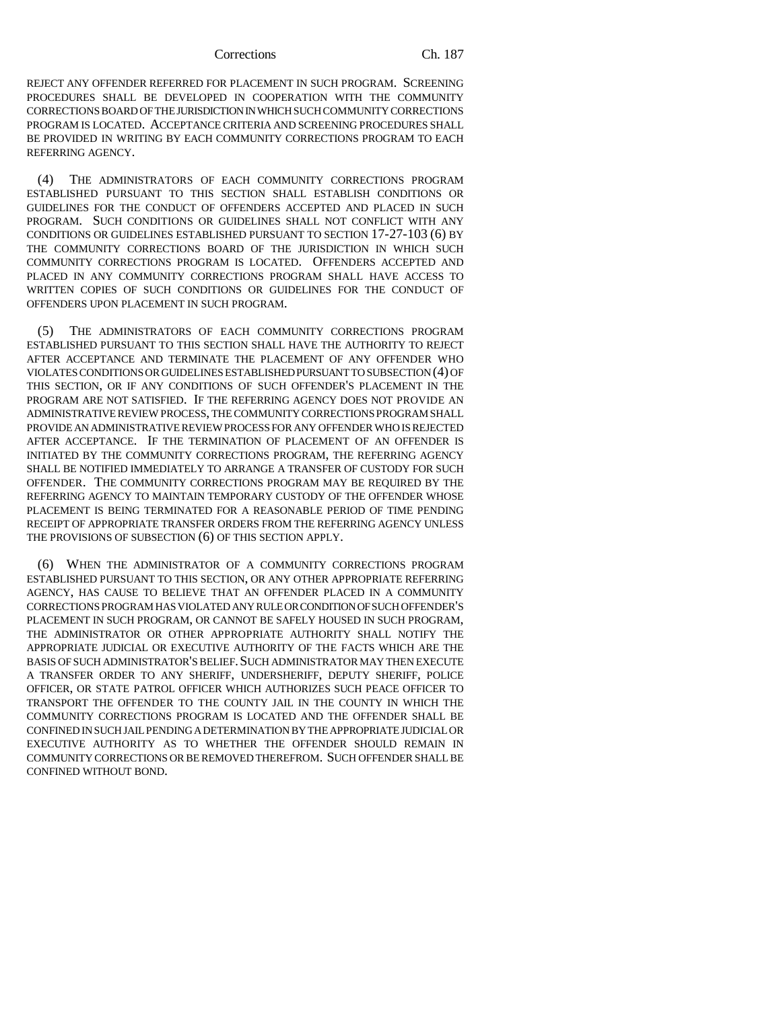REJECT ANY OFFENDER REFERRED FOR PLACEMENT IN SUCH PROGRAM. SCREENING PROCEDURES SHALL BE DEVELOPED IN COOPERATION WITH THE COMMUNITY CORRECTIONS BOARD OF THE JURISDICTION IN WHICH SUCH COMMUNITY CORRECTIONS PROGRAM IS LOCATED. ACCEPTANCE CRITERIA AND SCREENING PROCEDURES SHALL BE PROVIDED IN WRITING BY EACH COMMUNITY CORRECTIONS PROGRAM TO EACH REFERRING AGENCY.

(4) THE ADMINISTRATORS OF EACH COMMUNITY CORRECTIONS PROGRAM ESTABLISHED PURSUANT TO THIS SECTION SHALL ESTABLISH CONDITIONS OR GUIDELINES FOR THE CONDUCT OF OFFENDERS ACCEPTED AND PLACED IN SUCH PROGRAM. SUCH CONDITIONS OR GUIDELINES SHALL NOT CONFLICT WITH ANY CONDITIONS OR GUIDELINES ESTABLISHED PURSUANT TO SECTION 17-27-103 (6) BY THE COMMUNITY CORRECTIONS BOARD OF THE JURISDICTION IN WHICH SUCH COMMUNITY CORRECTIONS PROGRAM IS LOCATED. OFFENDERS ACCEPTED AND PLACED IN ANY COMMUNITY CORRECTIONS PROGRAM SHALL HAVE ACCESS TO WRITTEN COPIES OF SUCH CONDITIONS OR GUIDELINES FOR THE CONDUCT OF OFFENDERS UPON PLACEMENT IN SUCH PROGRAM.

(5) THE ADMINISTRATORS OF EACH COMMUNITY CORRECTIONS PROGRAM ESTABLISHED PURSUANT TO THIS SECTION SHALL HAVE THE AUTHORITY TO REJECT AFTER ACCEPTANCE AND TERMINATE THE PLACEMENT OF ANY OFFENDER WHO VIOLATES CONDITIONS OR GUIDELINES ESTABLISHED PURSUANT TO SUBSECTION (4) OF THIS SECTION, OR IF ANY CONDITIONS OF SUCH OFFENDER'S PLACEMENT IN THE PROGRAM ARE NOT SATISFIED. IF THE REFERRING AGENCY DOES NOT PROVIDE AN ADMINISTRATIVE REVIEW PROCESS, THE COMMUNITY CORRECTIONS PROGRAM SHALL PROVIDE AN ADMINISTRATIVE REVIEW PROCESS FOR ANY OFFENDER WHO IS REJECTED AFTER ACCEPTANCE. IF THE TERMINATION OF PLACEMENT OF AN OFFENDER IS INITIATED BY THE COMMUNITY CORRECTIONS PROGRAM, THE REFERRING AGENCY SHALL BE NOTIFIED IMMEDIATELY TO ARRANGE A TRANSFER OF CUSTODY FOR SUCH OFFENDER. THE COMMUNITY CORRECTIONS PROGRAM MAY BE REQUIRED BY THE REFERRING AGENCY TO MAINTAIN TEMPORARY CUSTODY OF THE OFFENDER WHOSE PLACEMENT IS BEING TERMINATED FOR A REASONABLE PERIOD OF TIME PENDING RECEIPT OF APPROPRIATE TRANSFER ORDERS FROM THE REFERRING AGENCY UNLESS THE PROVISIONS OF SUBSECTION (6) OF THIS SECTION APPLY.

(6) WHEN THE ADMINISTRATOR OF A COMMUNITY CORRECTIONS PROGRAM ESTABLISHED PURSUANT TO THIS SECTION, OR ANY OTHER APPROPRIATE REFERRING AGENCY, HAS CAUSE TO BELIEVE THAT AN OFFENDER PLACED IN A COMMUNITY CORRECTIONS PROGRAM HAS VIOLATED ANY RULE OR CONDITION OF SUCH OFFENDER'S PLACEMENT IN SUCH PROGRAM, OR CANNOT BE SAFELY HOUSED IN SUCH PROGRAM, THE ADMINISTRATOR OR OTHER APPROPRIATE AUTHORITY SHALL NOTIFY THE APPROPRIATE JUDICIAL OR EXECUTIVE AUTHORITY OF THE FACTS WHICH ARE THE BASIS OF SUCH ADMINISTRATOR'S BELIEF. SUCH ADMINISTRATOR MAY THEN EXECUTE A TRANSFER ORDER TO ANY SHERIFF, UNDERSHERIFF, DEPUTY SHERIFF, POLICE OFFICER, OR STATE PATROL OFFICER WHICH AUTHORIZES SUCH PEACE OFFICER TO TRANSPORT THE OFFENDER TO THE COUNTY JAIL IN THE COUNTY IN WHICH THE COMMUNITY CORRECTIONS PROGRAM IS LOCATED AND THE OFFENDER SHALL BE CONFINED IN SUCH JAIL PENDING A DETERMINATION BY THE APPROPRIATE JUDICIAL OR EXECUTIVE AUTHORITY AS TO WHETHER THE OFFENDER SHOULD REMAIN IN COMMUNITY CORRECTIONS OR BE REMOVED THEREFROM. SUCH OFFENDER SHALL BE CONFINED WITHOUT BOND.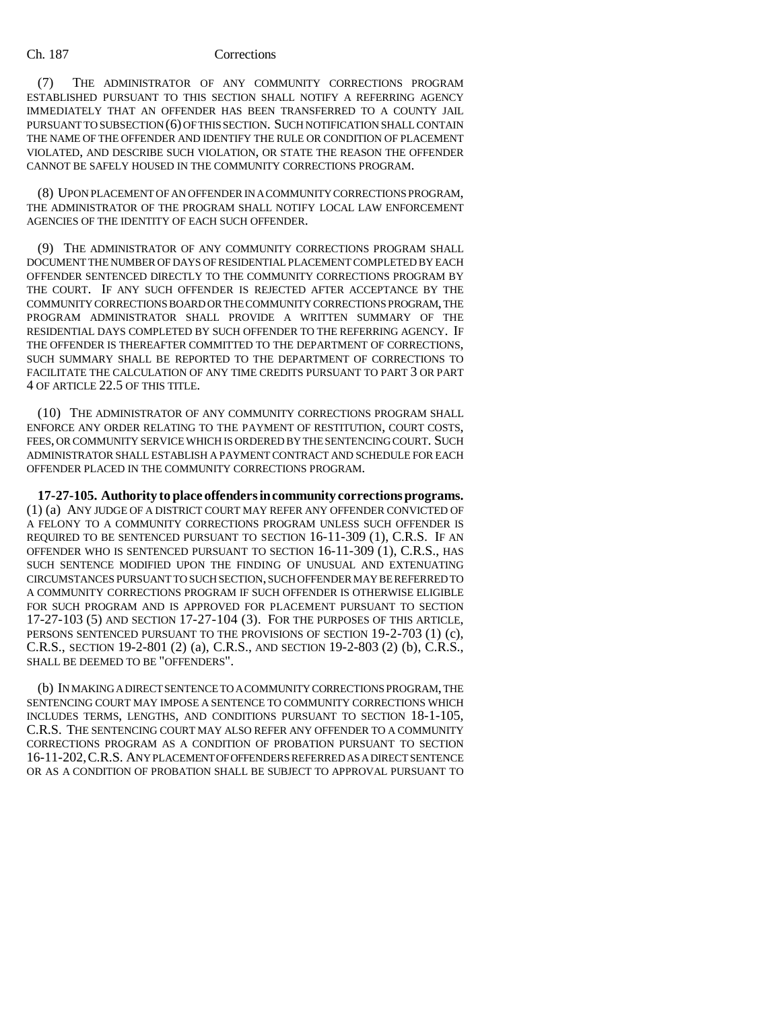(7) THE ADMINISTRATOR OF ANY COMMUNITY CORRECTIONS PROGRAM ESTABLISHED PURSUANT TO THIS SECTION SHALL NOTIFY A REFERRING AGENCY IMMEDIATELY THAT AN OFFENDER HAS BEEN TRANSFERRED TO A COUNTY JAIL PURSUANT TO SUBSECTION (6) OF THIS SECTION. SUCH NOTIFICATION SHALL CONTAIN THE NAME OF THE OFFENDER AND IDENTIFY THE RULE OR CONDITION OF PLACEMENT VIOLATED, AND DESCRIBE SUCH VIOLATION, OR STATE THE REASON THE OFFENDER CANNOT BE SAFELY HOUSED IN THE COMMUNITY CORRECTIONS PROGRAM.

(8) UPON PLACEMENT OF AN OFFENDER IN A COMMUNITY CORRECTIONS PROGRAM, THE ADMINISTRATOR OF THE PROGRAM SHALL NOTIFY LOCAL LAW ENFORCEMENT AGENCIES OF THE IDENTITY OF EACH SUCH OFFENDER.

(9) THE ADMINISTRATOR OF ANY COMMUNITY CORRECTIONS PROGRAM SHALL DOCUMENT THE NUMBER OF DAYS OF RESIDENTIAL PLACEMENT COMPLETED BY EACH OFFENDER SENTENCED DIRECTLY TO THE COMMUNITY CORRECTIONS PROGRAM BY THE COURT. IF ANY SUCH OFFENDER IS REJECTED AFTER ACCEPTANCE BY THE COMMUNITY CORRECTIONS BOARD OR THE COMMUNITY CORRECTIONS PROGRAM, THE PROGRAM ADMINISTRATOR SHALL PROVIDE A WRITTEN SUMMARY OF THE RESIDENTIAL DAYS COMPLETED BY SUCH OFFENDER TO THE REFERRING AGENCY. IF THE OFFENDER IS THEREAFTER COMMITTED TO THE DEPARTMENT OF CORRECTIONS, SUCH SUMMARY SHALL BE REPORTED TO THE DEPARTMENT OF CORRECTIONS TO FACILITATE THE CALCULATION OF ANY TIME CREDITS PURSUANT TO PART 3 OR PART 4 OF ARTICLE 22.5 OF THIS TITLE.

(10) THE ADMINISTRATOR OF ANY COMMUNITY CORRECTIONS PROGRAM SHALL ENFORCE ANY ORDER RELATING TO THE PAYMENT OF RESTITUTION, COURT COSTS, FEES, OR COMMUNITY SERVICE WHICH IS ORDERED BY THE SENTENCING COURT. SUCH ADMINISTRATOR SHALL ESTABLISH A PAYMENT CONTRACT AND SCHEDULE FOR EACH OFFENDER PLACED IN THE COMMUNITY CORRECTIONS PROGRAM.

**17-27-105. Authority to place offenders in community corrections programs.** (1) (a) ANY JUDGE OF A DISTRICT COURT MAY REFER ANY OFFENDER CONVICTED OF A FELONY TO A COMMUNITY CORRECTIONS PROGRAM UNLESS SUCH OFFENDER IS REQUIRED TO BE SENTENCED PURSUANT TO SECTION 16-11-309 (1), C.R.S. IF AN OFFENDER WHO IS SENTENCED PURSUANT TO SECTION 16-11-309 (1), C.R.S., HAS SUCH SENTENCE MODIFIED UPON THE FINDING OF UNUSUAL AND EXTENUATING CIRCUMSTANCES PURSUANT TO SUCH SECTION, SUCH OFFENDER MAY BE REFERRED TO A COMMUNITY CORRECTIONS PROGRAM IF SUCH OFFENDER IS OTHERWISE ELIGIBLE FOR SUCH PROGRAM AND IS APPROVED FOR PLACEMENT PURSUANT TO SECTION 17-27-103 (5) AND SECTION 17-27-104 (3). FOR THE PURPOSES OF THIS ARTICLE, PERSONS SENTENCED PURSUANT TO THE PROVISIONS OF SECTION 19-2-703 (1) (c), C.R.S., SECTION 19-2-801 (2) (a), C.R.S., AND SECTION 19-2-803 (2) (b), C.R.S., SHALL BE DEEMED TO BE "OFFENDERS".

(b) IN MAKING A DIRECT SENTENCE TO A COMMUNITY CORRECTIONS PROGRAM, THE SENTENCING COURT MAY IMPOSE A SENTENCE TO COMMUNITY CORRECTIONS WHICH INCLUDES TERMS, LENGTHS, AND CONDITIONS PURSUANT TO SECTION 18-1-105, C.R.S. THE SENTENCING COURT MAY ALSO REFER ANY OFFENDER TO A COMMUNITY CORRECTIONS PROGRAM AS A CONDITION OF PROBATION PURSUANT TO SECTION 16-11-202,C.R.S. ANY PLACEMENT OF OFFENDERS REFERRED AS A DIRECT SENTENCE OR AS A CONDITION OF PROBATION SHALL BE SUBJECT TO APPROVAL PURSUANT TO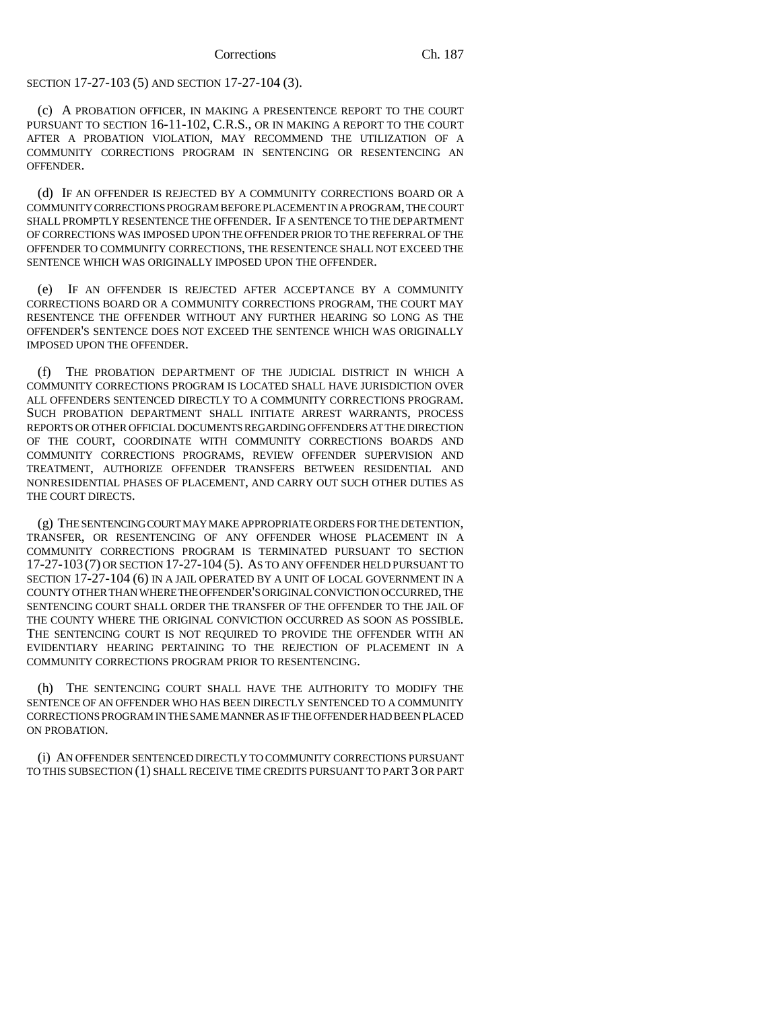SECTION 17-27-103 (5) AND SECTION 17-27-104 (3).

(c) A PROBATION OFFICER, IN MAKING A PRESENTENCE REPORT TO THE COURT PURSUANT TO SECTION 16-11-102, C.R.S., OR IN MAKING A REPORT TO THE COURT AFTER A PROBATION VIOLATION, MAY RECOMMEND THE UTILIZATION OF A COMMUNITY CORRECTIONS PROGRAM IN SENTENCING OR RESENTENCING AN OFFENDER.

(d) IF AN OFFENDER IS REJECTED BY A COMMUNITY CORRECTIONS BOARD OR A COMMUNITY CORRECTIONS PROGRAM BEFORE PLACEMENT IN A PROGRAM, THE COURT SHALL PROMPTLY RESENTENCE THE OFFENDER. IF A SENTENCE TO THE DEPARTMENT OF CORRECTIONS WAS IMPOSED UPON THE OFFENDER PRIOR TO THE REFERRAL OF THE OFFENDER TO COMMUNITY CORRECTIONS, THE RESENTENCE SHALL NOT EXCEED THE SENTENCE WHICH WAS ORIGINALLY IMPOSED UPON THE OFFENDER.

(e) IF AN OFFENDER IS REJECTED AFTER ACCEPTANCE BY A COMMUNITY CORRECTIONS BOARD OR A COMMUNITY CORRECTIONS PROGRAM, THE COURT MAY RESENTENCE THE OFFENDER WITHOUT ANY FURTHER HEARING SO LONG AS THE OFFENDER'S SENTENCE DOES NOT EXCEED THE SENTENCE WHICH WAS ORIGINALLY IMPOSED UPON THE OFFENDER.

(f) THE PROBATION DEPARTMENT OF THE JUDICIAL DISTRICT IN WHICH A COMMUNITY CORRECTIONS PROGRAM IS LOCATED SHALL HAVE JURISDICTION OVER ALL OFFENDERS SENTENCED DIRECTLY TO A COMMUNITY CORRECTIONS PROGRAM. SUCH PROBATION DEPARTMENT SHALL INITIATE ARREST WARRANTS, PROCESS REPORTS OR OTHER OFFICIAL DOCUMENTS REGARDING OFFENDERS AT THE DIRECTION OF THE COURT, COORDINATE WITH COMMUNITY CORRECTIONS BOARDS AND COMMUNITY CORRECTIONS PROGRAMS, REVIEW OFFENDER SUPERVISION AND TREATMENT, AUTHORIZE OFFENDER TRANSFERS BETWEEN RESIDENTIAL AND NONRESIDENTIAL PHASES OF PLACEMENT, AND CARRY OUT SUCH OTHER DUTIES AS THE COURT DIRECTS.

(g) THE SENTENCING COURT MAY MAKE APPROPRIATE ORDERS FOR THE DETENTION, TRANSFER, OR RESENTENCING OF ANY OFFENDER WHOSE PLACEMENT IN A COMMUNITY CORRECTIONS PROGRAM IS TERMINATED PURSUANT TO SECTION 17-27-103 (7) OR SECTION 17-27-104 (5). AS TO ANY OFFENDER HELD PURSUANT TO SECTION 17-27-104 (6) IN A JAIL OPERATED BY A UNIT OF LOCAL GOVERNMENT IN A COUNTY OTHER THAN WHERE THE OFFENDER'S ORIGINAL CONVICTION OCCURRED, THE SENTENCING COURT SHALL ORDER THE TRANSFER OF THE OFFENDER TO THE JAIL OF THE COUNTY WHERE THE ORIGINAL CONVICTION OCCURRED AS SOON AS POSSIBLE. THE SENTENCING COURT IS NOT REQUIRED TO PROVIDE THE OFFENDER WITH AN EVIDENTIARY HEARING PERTAINING TO THE REJECTION OF PLACEMENT IN A COMMUNITY CORRECTIONS PROGRAM PRIOR TO RESENTENCING.

(h) THE SENTENCING COURT SHALL HAVE THE AUTHORITY TO MODIFY THE SENTENCE OF AN OFFENDER WHO HAS BEEN DIRECTLY SENTENCED TO A COMMUNITY CORRECTIONS PROGRAM IN THE SAME MANNER AS IF THE OFFENDER HAD BEEN PLACED ON PROBATION.

(i) AN OFFENDER SENTENCED DIRECTLY TO COMMUNITY CORRECTIONS PURSUANT TO THIS SUBSECTION (1) SHALL RECEIVE TIME CREDITS PURSUANT TO PART 3 OR PART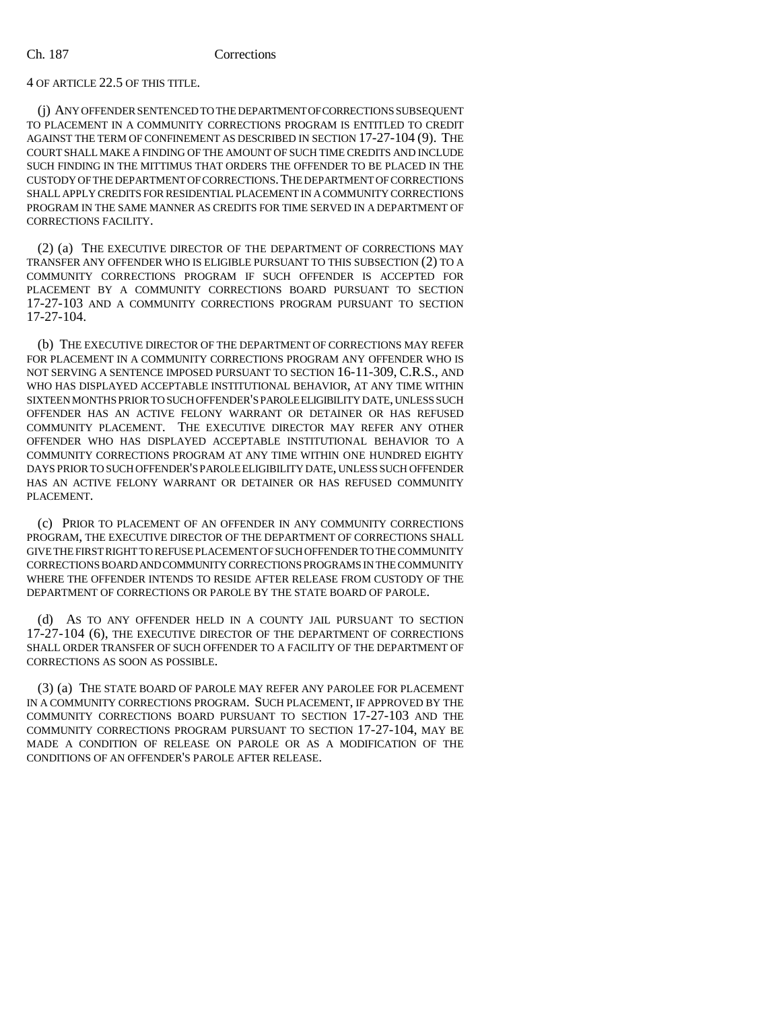4 OF ARTICLE 22.5 OF THIS TITLE.

(j) ANY OFFENDER SENTENCED TO THE DEPARTMENT OF CORRECTIONS SUBSEQUENT TO PLACEMENT IN A COMMUNITY CORRECTIONS PROGRAM IS ENTITLED TO CREDIT AGAINST THE TERM OF CONFINEMENT AS DESCRIBED IN SECTION 17-27-104 (9). THE COURT SHALL MAKE A FINDING OF THE AMOUNT OF SUCH TIME CREDITS AND INCLUDE SUCH FINDING IN THE MITTIMUS THAT ORDERS THE OFFENDER TO BE PLACED IN THE CUSTODY OF THE DEPARTMENT OF CORRECTIONS.THE DEPARTMENT OF CORRECTIONS SHALL APPLY CREDITS FOR RESIDENTIAL PLACEMENT IN A COMMUNITY CORRECTIONS PROGRAM IN THE SAME MANNER AS CREDITS FOR TIME SERVED IN A DEPARTMENT OF CORRECTIONS FACILITY.

(2) (a) THE EXECUTIVE DIRECTOR OF THE DEPARTMENT OF CORRECTIONS MAY TRANSFER ANY OFFENDER WHO IS ELIGIBLE PURSUANT TO THIS SUBSECTION (2) TO A COMMUNITY CORRECTIONS PROGRAM IF SUCH OFFENDER IS ACCEPTED FOR PLACEMENT BY A COMMUNITY CORRECTIONS BOARD PURSUANT TO SECTION 17-27-103 AND A COMMUNITY CORRECTIONS PROGRAM PURSUANT TO SECTION 17-27-104.

(b) THE EXECUTIVE DIRECTOR OF THE DEPARTMENT OF CORRECTIONS MAY REFER FOR PLACEMENT IN A COMMUNITY CORRECTIONS PROGRAM ANY OFFENDER WHO IS NOT SERVING A SENTENCE IMPOSED PURSUANT TO SECTION 16-11-309, C.R.S., AND WHO HAS DISPLAYED ACCEPTABLE INSTITUTIONAL BEHAVIOR, AT ANY TIME WITHIN SIXTEEN MONTHS PRIOR TO SUCH OFFENDER'S PAROLE ELIGIBILITY DATE, UNLESS SUCH OFFENDER HAS AN ACTIVE FELONY WARRANT OR DETAINER OR HAS REFUSED COMMUNITY PLACEMENT. THE EXECUTIVE DIRECTOR MAY REFER ANY OTHER OFFENDER WHO HAS DISPLAYED ACCEPTABLE INSTITUTIONAL BEHAVIOR TO A COMMUNITY CORRECTIONS PROGRAM AT ANY TIME WITHIN ONE HUNDRED EIGHTY DAYS PRIOR TO SUCH OFFENDER'S PAROLE ELIGIBILITY DATE, UNLESS SUCH OFFENDER HAS AN ACTIVE FELONY WARRANT OR DETAINER OR HAS REFUSED COMMUNITY PLACEMENT.

(c) PRIOR TO PLACEMENT OF AN OFFENDER IN ANY COMMUNITY CORRECTIONS PROGRAM, THE EXECUTIVE DIRECTOR OF THE DEPARTMENT OF CORRECTIONS SHALL GIVE THE FIRST RIGHT TO REFUSE PLACEMENT OF SUCH OFFENDER TO THE COMMUNITY CORRECTIONS BOARD AND COMMUNITY CORRECTIONS PROGRAMS IN THE COMMUNITY WHERE THE OFFENDER INTENDS TO RESIDE AFTER RELEASE FROM CUSTODY OF THE DEPARTMENT OF CORRECTIONS OR PAROLE BY THE STATE BOARD OF PAROLE.

(d) AS TO ANY OFFENDER HELD IN A COUNTY JAIL PURSUANT TO SECTION 17-27-104 (6), THE EXECUTIVE DIRECTOR OF THE DEPARTMENT OF CORRECTIONS SHALL ORDER TRANSFER OF SUCH OFFENDER TO A FACILITY OF THE DEPARTMENT OF CORRECTIONS AS SOON AS POSSIBLE.

(3) (a) THE STATE BOARD OF PAROLE MAY REFER ANY PAROLEE FOR PLACEMENT IN A COMMUNITY CORRECTIONS PROGRAM. SUCH PLACEMENT, IF APPROVED BY THE COMMUNITY CORRECTIONS BOARD PURSUANT TO SECTION 17-27-103 AND THE COMMUNITY CORRECTIONS PROGRAM PURSUANT TO SECTION 17-27-104, MAY BE MADE A CONDITION OF RELEASE ON PAROLE OR AS A MODIFICATION OF THE CONDITIONS OF AN OFFENDER'S PAROLE AFTER RELEASE.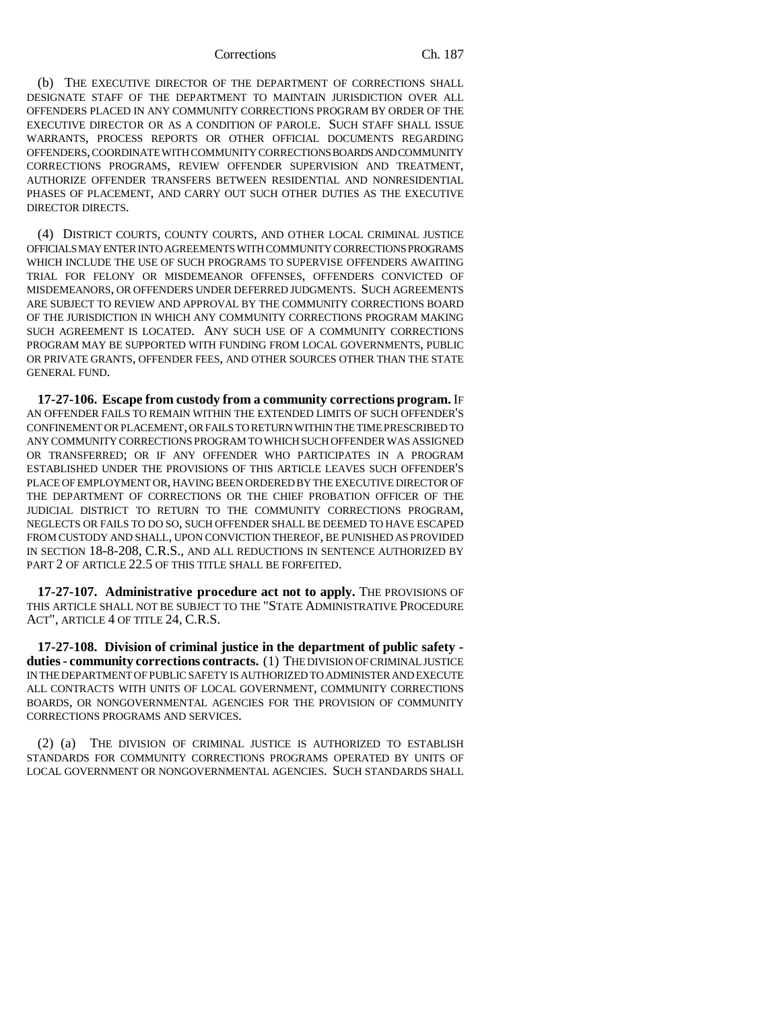(b) THE EXECUTIVE DIRECTOR OF THE DEPARTMENT OF CORRECTIONS SHALL DESIGNATE STAFF OF THE DEPARTMENT TO MAINTAIN JURISDICTION OVER ALL OFFENDERS PLACED IN ANY COMMUNITY CORRECTIONS PROGRAM BY ORDER OF THE EXECUTIVE DIRECTOR OR AS A CONDITION OF PAROLE. SUCH STAFF SHALL ISSUE WARRANTS, PROCESS REPORTS OR OTHER OFFICIAL DOCUMENTS REGARDING OFFENDERS, COORDINATE WITH COMMUNITY CORRECTIONS BOARDS AND COMMUNITY CORRECTIONS PROGRAMS, REVIEW OFFENDER SUPERVISION AND TREATMENT, AUTHORIZE OFFENDER TRANSFERS BETWEEN RESIDENTIAL AND NONRESIDENTIAL PHASES OF PLACEMENT, AND CARRY OUT SUCH OTHER DUTIES AS THE EXECUTIVE DIRECTOR DIRECTS.

(4) DISTRICT COURTS, COUNTY COURTS, AND OTHER LOCAL CRIMINAL JUSTICE OFFICIALS MAY ENTER INTO AGREEMENTS WITH COMMUNITY CORRECTIONS PROGRAMS WHICH INCLUDE THE USE OF SUCH PROGRAMS TO SUPERVISE OFFENDERS AWAITING TRIAL FOR FELONY OR MISDEMEANOR OFFENSES, OFFENDERS CONVICTED OF MISDEMEANORS, OR OFFENDERS UNDER DEFERRED JUDGMENTS. SUCH AGREEMENTS ARE SUBJECT TO REVIEW AND APPROVAL BY THE COMMUNITY CORRECTIONS BOARD OF THE JURISDICTION IN WHICH ANY COMMUNITY CORRECTIONS PROGRAM MAKING SUCH AGREEMENT IS LOCATED. ANY SUCH USE OF A COMMUNITY CORRECTIONS PROGRAM MAY BE SUPPORTED WITH FUNDING FROM LOCAL GOVERNMENTS, PUBLIC OR PRIVATE GRANTS, OFFENDER FEES, AND OTHER SOURCES OTHER THAN THE STATE GENERAL FUND.

**17-27-106. Escape from custody from a community corrections program.** IF AN OFFENDER FAILS TO REMAIN WITHIN THE EXTENDED LIMITS OF SUCH OFFENDER'S CONFINEMENT OR PLACEMENT, OR FAILS TO RETURN WITHIN THE TIME PRESCRIBED TO ANY COMMUNITY CORRECTIONS PROGRAM TO WHICH SUCH OFFENDER WAS ASSIGNED OR TRANSFERRED; OR IF ANY OFFENDER WHO PARTICIPATES IN A PROGRAM ESTABLISHED UNDER THE PROVISIONS OF THIS ARTICLE LEAVES SUCH OFFENDER'S PLACE OF EMPLOYMENT OR, HAVING BEEN ORDERED BY THE EXECUTIVE DIRECTOR OF THE DEPARTMENT OF CORRECTIONS OR THE CHIEF PROBATION OFFICER OF THE JUDICIAL DISTRICT TO RETURN TO THE COMMUNITY CORRECTIONS PROGRAM, NEGLECTS OR FAILS TO DO SO, SUCH OFFENDER SHALL BE DEEMED TO HAVE ESCAPED FROM CUSTODY AND SHALL, UPON CONVICTION THEREOF, BE PUNISHED AS PROVIDED IN SECTION 18-8-208, C.R.S., AND ALL REDUCTIONS IN SENTENCE AUTHORIZED BY PART 2 OF ARTICLE 22.5 OF THIS TITLE SHALL BE FORFEITED.

**17-27-107. Administrative procedure act not to apply.** THE PROVISIONS OF THIS ARTICLE SHALL NOT BE SUBJECT TO THE "STATE ADMINISTRATIVE PROCEDURE ACT", ARTICLE 4 OF TITLE 24, C.R.S.

**17-27-108. Division of criminal justice in the department of public safety duties - community corrections contracts.** (1) THE DIVISION OF CRIMINAL JUSTICE IN THE DEPARTMENT OF PUBLIC SAFETY IS AUTHORIZED TO ADMINISTER AND EXECUTE ALL CONTRACTS WITH UNITS OF LOCAL GOVERNMENT, COMMUNITY CORRECTIONS BOARDS, OR NONGOVERNMENTAL AGENCIES FOR THE PROVISION OF COMMUNITY CORRECTIONS PROGRAMS AND SERVICES.

(2) (a) THE DIVISION OF CRIMINAL JUSTICE IS AUTHORIZED TO ESTABLISH STANDARDS FOR COMMUNITY CORRECTIONS PROGRAMS OPERATED BY UNITS OF LOCAL GOVERNMENT OR NONGOVERNMENTAL AGENCIES. SUCH STANDARDS SHALL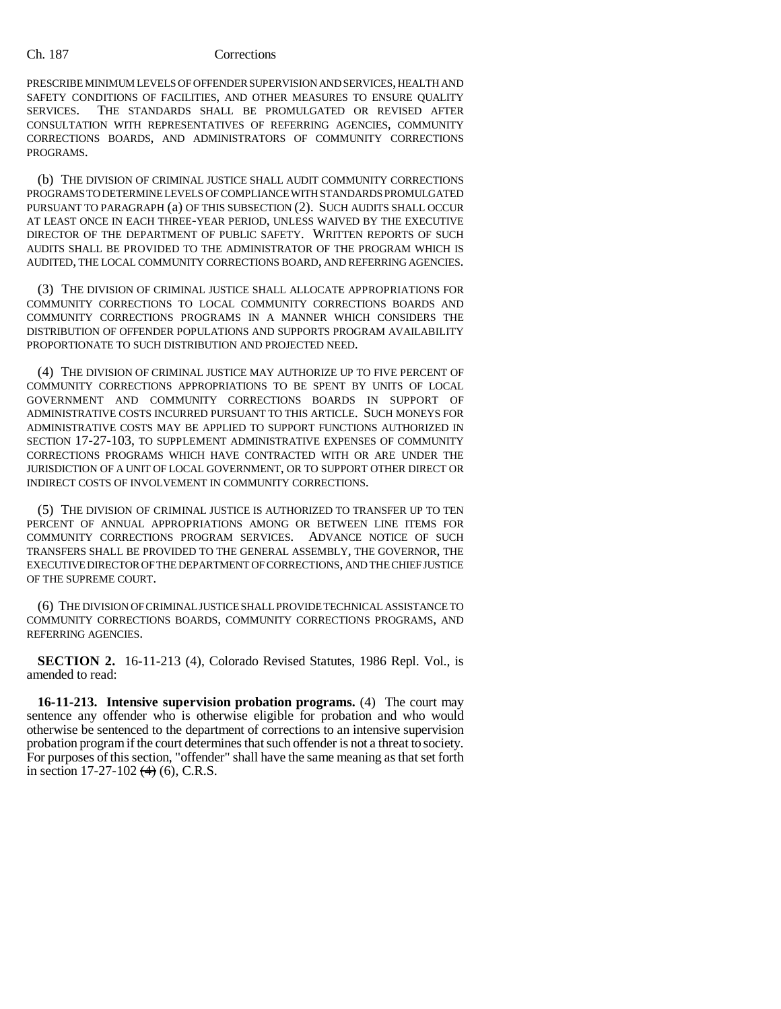PRESCRIBE MINIMUM LEVELS OF OFFENDER SUPERVISION AND SERVICES, HEALTH AND SAFETY CONDITIONS OF FACILITIES, AND OTHER MEASURES TO ENSURE QUALITY SERVICES. THE STANDARDS SHALL BE PROMULGATED OR REVISED AFTER THE STANDARDS SHALL BE PROMULGATED OR REVISED AFTER CONSULTATION WITH REPRESENTATIVES OF REFERRING AGENCIES, COMMUNITY CORRECTIONS BOARDS, AND ADMINISTRATORS OF COMMUNITY CORRECTIONS PROGRAMS.

(b) THE DIVISION OF CRIMINAL JUSTICE SHALL AUDIT COMMUNITY CORRECTIONS PROGRAMS TO DETERMINE LEVELS OF COMPLIANCE WITH STANDARDS PROMULGATED PURSUANT TO PARAGRAPH (a) OF THIS SUBSECTION (2). SUCH AUDITS SHALL OCCUR AT LEAST ONCE IN EACH THREE-YEAR PERIOD, UNLESS WAIVED BY THE EXECUTIVE DIRECTOR OF THE DEPARTMENT OF PUBLIC SAFETY. WRITTEN REPORTS OF SUCH AUDITS SHALL BE PROVIDED TO THE ADMINISTRATOR OF THE PROGRAM WHICH IS AUDITED, THE LOCAL COMMUNITY CORRECTIONS BOARD, AND REFERRING AGENCIES.

(3) THE DIVISION OF CRIMINAL JUSTICE SHALL ALLOCATE APPROPRIATIONS FOR COMMUNITY CORRECTIONS TO LOCAL COMMUNITY CORRECTIONS BOARDS AND COMMUNITY CORRECTIONS PROGRAMS IN A MANNER WHICH CONSIDERS THE DISTRIBUTION OF OFFENDER POPULATIONS AND SUPPORTS PROGRAM AVAILABILITY PROPORTIONATE TO SUCH DISTRIBUTION AND PROJECTED NEED.

(4) THE DIVISION OF CRIMINAL JUSTICE MAY AUTHORIZE UP TO FIVE PERCENT OF COMMUNITY CORRECTIONS APPROPRIATIONS TO BE SPENT BY UNITS OF LOCAL GOVERNMENT AND COMMUNITY CORRECTIONS BOARDS IN SUPPORT OF ADMINISTRATIVE COSTS INCURRED PURSUANT TO THIS ARTICLE. SUCH MONEYS FOR ADMINISTRATIVE COSTS MAY BE APPLIED TO SUPPORT FUNCTIONS AUTHORIZED IN SECTION 17-27-103, TO SUPPLEMENT ADMINISTRATIVE EXPENSES OF COMMUNITY CORRECTIONS PROGRAMS WHICH HAVE CONTRACTED WITH OR ARE UNDER THE JURISDICTION OF A UNIT OF LOCAL GOVERNMENT, OR TO SUPPORT OTHER DIRECT OR INDIRECT COSTS OF INVOLVEMENT IN COMMUNITY CORRECTIONS.

(5) THE DIVISION OF CRIMINAL JUSTICE IS AUTHORIZED TO TRANSFER UP TO TEN PERCENT OF ANNUAL APPROPRIATIONS AMONG OR BETWEEN LINE ITEMS FOR COMMUNITY CORRECTIONS PROGRAM SERVICES. ADVANCE NOTICE OF SUCH TRANSFERS SHALL BE PROVIDED TO THE GENERAL ASSEMBLY, THE GOVERNOR, THE EXECUTIVE DIRECTOR OF THE DEPARTMENT OF CORRECTIONS, AND THE CHIEF JUSTICE OF THE SUPREME COURT.

(6) THE DIVISION OF CRIMINAL JUSTICE SHALL PROVIDE TECHNICAL ASSISTANCE TO COMMUNITY CORRECTIONS BOARDS, COMMUNITY CORRECTIONS PROGRAMS, AND REFERRING AGENCIES.

**SECTION 2.** 16-11-213 (4), Colorado Revised Statutes, 1986 Repl. Vol., is amended to read:

**16-11-213. Intensive supervision probation programs.** (4) The court may sentence any offender who is otherwise eligible for probation and who would otherwise be sentenced to the department of corrections to an intensive supervision probation program if the court determines that such offender is not a threat to society. For purposes of this section, "offender" shall have the same meaning as that set forth in section  $17-27-102$   $(4)$   $(6)$ , C.R.S.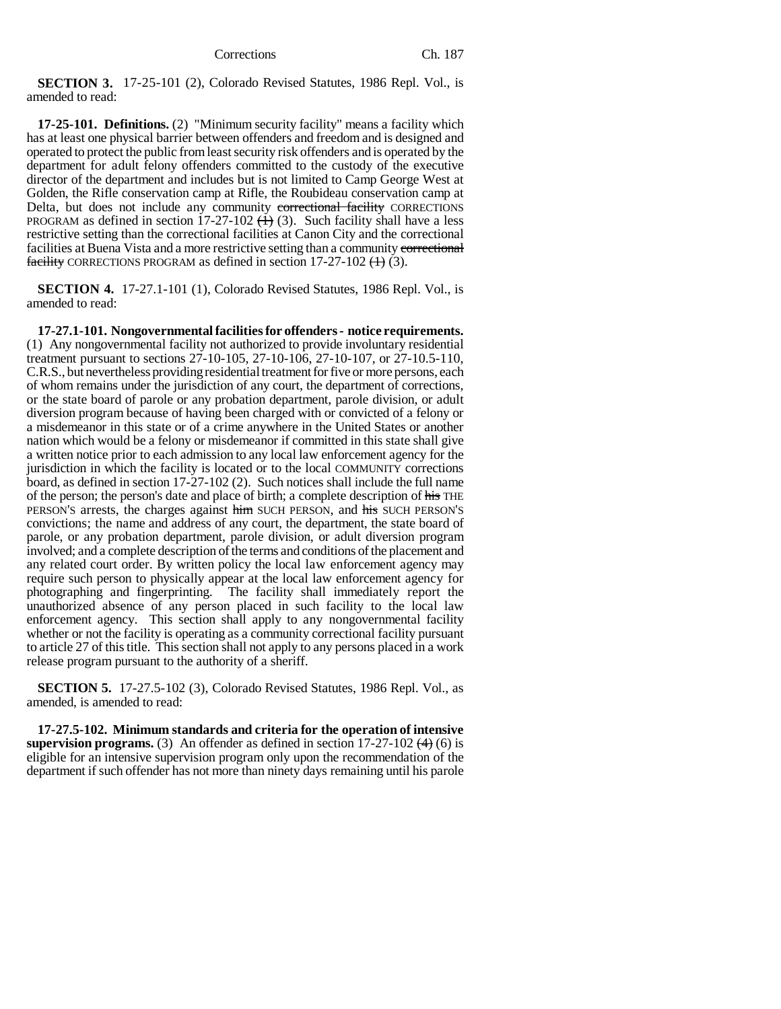**SECTION 3.** 17-25-101 (2), Colorado Revised Statutes, 1986 Repl. Vol., is amended to read:

**17-25-101. Definitions.** (2) "Minimum security facility" means a facility which has at least one physical barrier between offenders and freedom and is designed and operated to protect the public from least security risk offenders and is operated by the department for adult felony offenders committed to the custody of the executive director of the department and includes but is not limited to Camp George West at Golden, the Rifle conservation camp at Rifle, the Roubideau conservation camp at Delta, but does not include any community correctional facility CORRECTIONS PROGRAM as defined in section  $17-27-102$  ( $\leftrightarrow$ ) (3). Such facility shall have a less restrictive setting than the correctional facilities at Canon City and the correctional facilities at Buena Vista and a more restrictive setting than a community correctional facility CORRECTIONS PROGRAM as defined in section  $17-27-102$  (1) (3).

**SECTION 4.** 17-27.1-101 (1), Colorado Revised Statutes, 1986 Repl. Vol., is amended to read:

**17-27.1-101. Nongovernmental facilities for offenders - notice requirements.** (1) Any nongovernmental facility not authorized to provide involuntary residential treatment pursuant to sections 27-10-105, 27-10-106, 27-10-107, or 27-10.5-110, C.R.S., but nevertheless providing residential treatment for five or more persons, each of whom remains under the jurisdiction of any court, the department of corrections, or the state board of parole or any probation department, parole division, or adult diversion program because of having been charged with or convicted of a felony or a misdemeanor in this state or of a crime anywhere in the United States or another nation which would be a felony or misdemeanor if committed in this state shall give a written notice prior to each admission to any local law enforcement agency for the jurisdiction in which the facility is located or to the local COMMUNITY corrections board, as defined in section 17-27-102 (2). Such notices shall include the full name of the person; the person's date and place of birth; a complete description of his THE PERSON'S arrests, the charges against him SUCH PERSON, and his SUCH PERSON'S convictions; the name and address of any court, the department, the state board of parole, or any probation department, parole division, or adult diversion program involved; and a complete description of the terms and conditions of the placement and any related court order. By written policy the local law enforcement agency may require such person to physically appear at the local law enforcement agency for photographing and fingerprinting. The facility shall immediately report the unauthorized absence of any person placed in such facility to the local law enforcement agency. This section shall apply to any nongovernmental facility whether or not the facility is operating as a community correctional facility pursuant to article 27 of this title. This section shall not apply to any persons placed in a work release program pursuant to the authority of a sheriff.

**SECTION 5.** 17-27.5-102 (3), Colorado Revised Statutes, 1986 Repl. Vol., as amended, is amended to read:

**17-27.5-102. Minimum standards and criteria for the operation of intensive supervision programs.** (3) An offender as defined in section  $17-27-102$   $(4)$  (6) is eligible for an intensive supervision program only upon the recommendation of the department if such offender has not more than ninety days remaining until his parole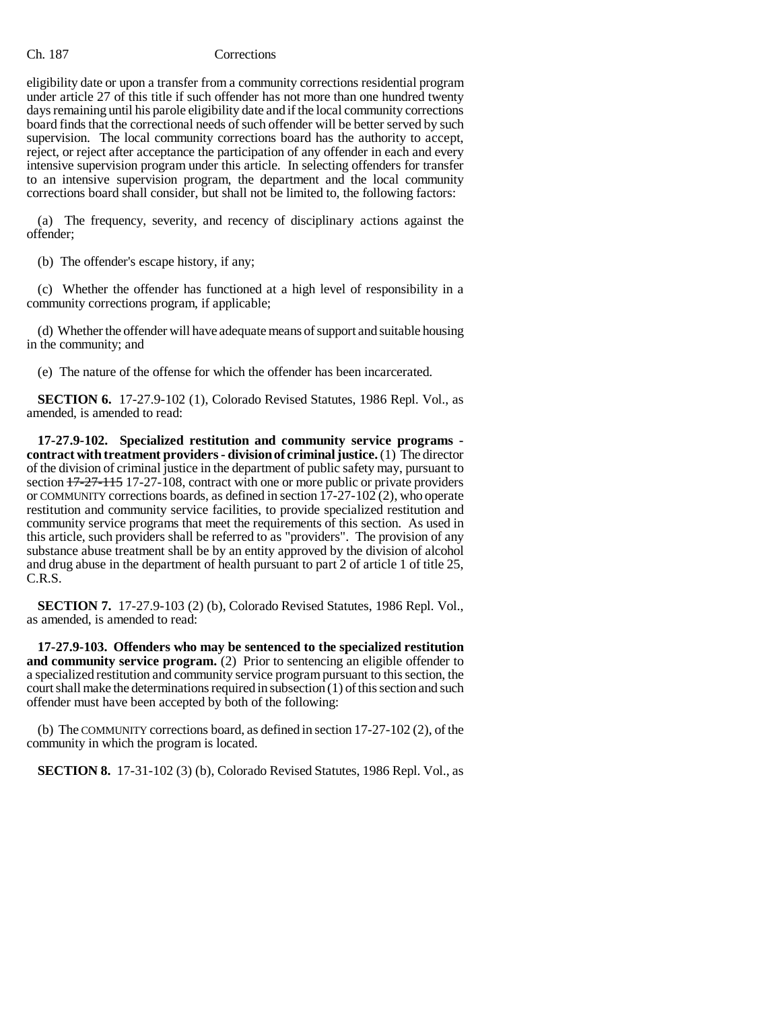eligibility date or upon a transfer from a community corrections residential program under article 27 of this title if such offender has not more than one hundred twenty days remaining until his parole eligibility date and if the local community corrections board finds that the correctional needs of such offender will be better served by such supervision. The local community corrections board has the authority to accept, reject, or reject after acceptance the participation of any offender in each and every intensive supervision program under this article. In selecting offenders for transfer to an intensive supervision program, the department and the local community corrections board shall consider, but shall not be limited to, the following factors:

(a) The frequency, severity, and recency of disciplinary actions against the offender;

(b) The offender's escape history, if any;

(c) Whether the offender has functioned at a high level of responsibility in a community corrections program, if applicable;

(d) Whether the offender will have adequate means of support and suitable housing in the community; and

(e) The nature of the offense for which the offender has been incarcerated.

**SECTION 6.** 17-27.9-102 (1), Colorado Revised Statutes, 1986 Repl. Vol., as amended, is amended to read:

**17-27.9-102. Specialized restitution and community service programs contract with treatment providers - division of criminal justice.** (1) The director of the division of criminal justice in the department of public safety may, pursuant to section  $17-27-115$  17-27-108, contract with one or more public or private providers or COMMUNITY corrections boards, as defined in section 17-27-102 (2), who operate restitution and community service facilities, to provide specialized restitution and community service programs that meet the requirements of this section. As used in this article, such providers shall be referred to as "providers". The provision of any substance abuse treatment shall be by an entity approved by the division of alcohol and drug abuse in the department of health pursuant to part 2 of article 1 of title 25, C.R.S.

**SECTION 7.** 17-27.9-103 (2) (b), Colorado Revised Statutes, 1986 Repl. Vol., as amended, is amended to read:

**17-27.9-103. Offenders who may be sentenced to the specialized restitution and community service program.** (2) Prior to sentencing an eligible offender to a specialized restitution and community service program pursuant to this section, the court shall make the determinations required in subsection (1) of this section and such offender must have been accepted by both of the following:

(b) The COMMUNITY corrections board, as defined in section 17-27-102 (2), of the community in which the program is located.

**SECTION 8.** 17-31-102 (3) (b), Colorado Revised Statutes, 1986 Repl. Vol., as